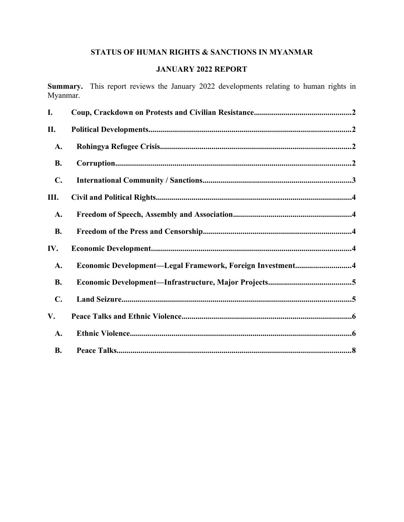# **STATUS OF HUMAN RIGHTS & SANCTIONS IN MYANMAR**

# **JANUARY 2022 REPORT**

**Summary.** This report reviews the January 2022 developments relating to human rights in Myanmar.

| I.             |                                                           |
|----------------|-----------------------------------------------------------|
| П.             |                                                           |
| A.             |                                                           |
| <b>B.</b>      |                                                           |
| $\mathbf{C}$ . |                                                           |
| III.           |                                                           |
| A.             |                                                           |
| <b>B.</b>      |                                                           |
| IV.            |                                                           |
| A.             | Economic Development-Legal Framework, Foreign Investment4 |
| <b>B.</b>      |                                                           |
| C.             |                                                           |
| V.             |                                                           |
| A.             |                                                           |
| <b>B.</b>      |                                                           |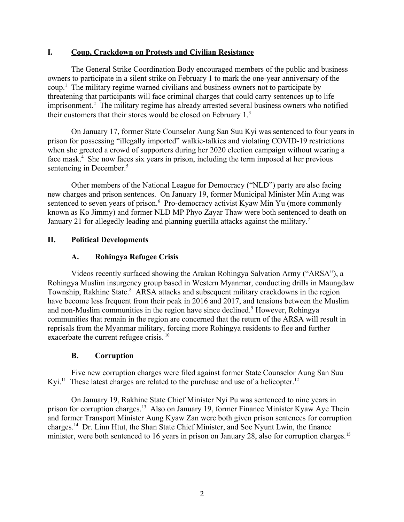#### <span id="page-1-3"></span>**I. Coup, Crackdown on Protests and Civilian Resistance**

The General Strike Coordination Body encouraged members of the public and business owners to participate in a silent strike on February 1 to mark the one-year anniversary of the coup.[1](#page-8-0) The military regime warned civilians and business owners not to participate by threatening that participants will face criminal charges that could carry sentences up to life imprisonment.<sup>[2](#page-8-1)</sup> The military regime has already arrested several business owners who notified their customers that their stores would be closed on February 1.[3](#page-8-2)

<span id="page-1-6"></span><span id="page-1-5"></span><span id="page-1-4"></span>On January 17, former State Counselor Aung San Suu Kyi was sentenced to four years in prison for possessing "illegally imported" walkie-talkies and violating COVID-19 restrictions when she greeted a crowd of supporters during her 2020 election campaign without wearing a face mask $<sup>4</sup>$  $<sup>4</sup>$  $<sup>4</sup>$ . She now faces six years in prison, including the term imposed at her previous</sup> sentencing in December.<sup>[5](#page-8-4)</sup>

<span id="page-1-7"></span>Other members of the National League for Democracy ("NLD") party are also facing new charges and prison sentences. On January 19, former Municipal Minister Min Aung was sentenced to seven years of prison.<sup>[6](#page-8-5)</sup> Pro-democracy activist Kyaw Min Yu (more commonly known as Ko Jimmy) and former NLD MP Phyo Zayar Thaw were both sentenced to death on January 21 for allegedly leading and planning guerilla attacks against the military.<sup>[7](#page-8-6)</sup>

## **II. Political Developments**

#### <span id="page-1-10"></span><span id="page-1-9"></span><span id="page-1-8"></span><span id="page-1-2"></span><span id="page-1-1"></span>**A. Rohingya Refugee Crisis**

Videos recently surfaced showing the Arakan Rohingya Salvation Army ("ARSA"), a Rohingya Muslim insurgency group based in Western Myanmar, conducting drills in Maungdaw Township, Rakhine State.<sup>[8](#page-8-7)</sup> ARSA attacks and subsequent military crackdowns in the region have become less frequent from their peak in 2016 and 2017, and tensions between the Muslim and non-Muslim communities in the region have since declined.<sup>9</sup> However, Rohingya communities that remain in the region are concerned that the return of the ARSA will result in reprisals from the Myanmar military, forcing more Rohingya residents to flee and further exacerbate the current refugee crisis.<sup>[10](#page-8-9)</sup>

#### <span id="page-1-18"></span><span id="page-1-15"></span><span id="page-1-13"></span><span id="page-1-12"></span><span id="page-1-11"></span><span id="page-1-0"></span>**B. Corruption**

Five new corruption charges were filed against former State Counselor Aung San Suu Kyi.<sup>[11](#page-8-10)</sup> These latest charges are related to the purchase and use of a helicopter.<sup>[12](#page-8-11)</sup>

<span id="page-1-17"></span><span id="page-1-16"></span><span id="page-1-14"></span>On January 19, Rakhine State Chief Minister Nyi Pu was sentenced to nine years in prison for corruption charges.<sup>[13](#page-8-12)</sup> Also on January 19, former Finance Minister Kyaw Aye Thein and former Transport Minister Aung Kyaw Zan were both given prison sentences for corruption charges.[14](#page-8-13) Dr. Linn Htut, the Shan State Chief Minister, and Soe Nyunt Lwin, the finance minister, were both sentenced to 16 years in prison on January 28, also for corruption charges.<sup>[15](#page-8-14)</sup>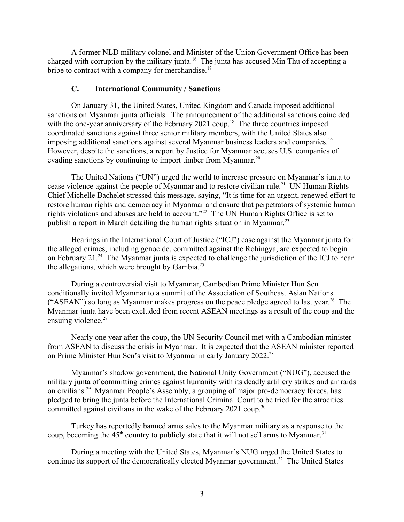A former NLD military colonel and Minister of the Union Government Office has been charged with corruption by the military junta.<sup>[16](#page-8-15)</sup> The junta has accused Min Thu of accepting a bribe to contract with a company for merchandise.<sup>[17](#page-8-16)</sup>

#### <span id="page-2-4"></span><span id="page-2-3"></span><span id="page-2-2"></span><span id="page-2-1"></span><span id="page-2-0"></span>**C. International Community / Sanctions**

On January 31, the United States, United Kingdom and Canada imposed additional sanctions on Myanmar junta officials. The announcement of the additional sanctions coincided with the one-year anniversary of the February 2021 coup.<sup>[18](#page-8-17)</sup> The three countries imposed coordinated sanctions against three senior military members, with the United States also imposing additional sanctions against several Myanmar business leaders and companies.<sup>[19](#page-8-18)</sup> However, despite the sanctions, a report by Justice for Myanmar accuses U.S. companies of evading sanctions by continuing to import timber from Myanmar.<sup>[20](#page-8-19)</sup>

<span id="page-2-5"></span>The United Nations ("UN") urged the world to increase pressure on Myanmar's junta to cease violence against the people of Myanmar and to restore civilian rule.<sup>[21](#page-8-20)</sup> UN Human Rights Chief Michelle Bachelet stressed this message, saying, "It is time for an urgent, renewed effort to restore human rights and democracy in Myanmar and ensure that perpetrators of systemic human rights violations and abuses are held to account."[22](#page-8-21) The UN Human Rights Office is set to publish a report in March detailing the human rights situation in Myanmar.<sup>[23](#page-8-22)</sup>

<span id="page-2-8"></span><span id="page-2-7"></span><span id="page-2-6"></span>Hearings in the International Court of Justice ("ICJ") case against the Myanmar junta for the alleged crimes, including genocide, committed against the Rohingya, are expected to begin on February 21. $^{24}$  $^{24}$  $^{24}$  The Myanmar junta is expected to challenge the jurisdiction of the ICJ to hear the allegations, which were brought by Gambia.<sup>[25](#page-8-24)</sup>

<span id="page-2-10"></span><span id="page-2-9"></span>During a controversial visit to Myanmar, Cambodian Prime Minister Hun Sen conditionally invited Myanmar to a summit of the Association of Southeast Asian Nations ("ASEAN") so long as Myanmar makes progress on the peace pledge agreed to last year.<sup>[26](#page-8-25)</sup> The Myanmar junta have been excluded from recent ASEAN meetings as a result of the coup and the ensuing violence. $27$ 

<span id="page-2-12"></span><span id="page-2-11"></span>Nearly one year after the coup, the UN Security Council met with a Cambodian minister from ASEAN to discuss the crisis in Myanmar. It is expected that the ASEAN minister reported on Prime Minister Hun Sen's visit to Myanmar in early January 2022.<sup>[28](#page-8-27)</sup>

<span id="page-2-13"></span>Myanmar's shadow government, the National Unity Government ("NUG"), accused the military junta of committing crimes against humanity with its deadly artillery strikes and air raids on civilians.[29](#page-8-28) Myanmar People's Assembly, a grouping of major pro-democracy forces, has pledged to bring the junta before the International Criminal Court to be tried for the atrocities committed against civilians in the wake of the February 2021 coup.<sup>[30](#page-8-29)</sup>

<span id="page-2-14"></span>Turkey has reportedly banned arms sales to the Myanmar military as a response to the coup, becoming the  $45<sup>th</sup>$  country to publicly state that it will not sell arms to Myanmar.<sup>[31](#page-8-30)</sup>

<span id="page-2-17"></span><span id="page-2-16"></span><span id="page-2-15"></span>During a meeting with the United States, Myanmar's NUG urged the United States to continue its support of the democratically elected Myanmar government.<sup>[32](#page-8-31)</sup> The United States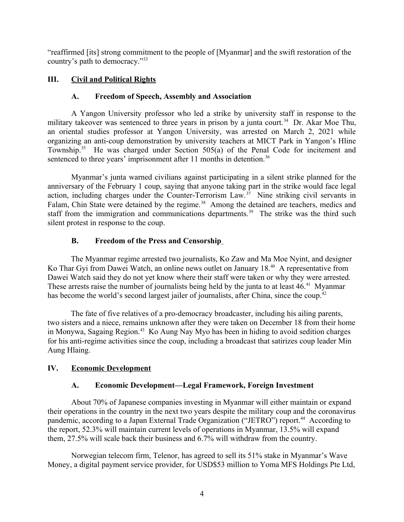"reaffirmed [its] strong commitment to the people of [Myanmar] and the swift restoration of the country's path to democracy."[33](#page-8-32)

# **III. Civil and Political Rights**

## <span id="page-3-6"></span><span id="page-3-5"></span><span id="page-3-4"></span><span id="page-3-3"></span>**A. Freedom of Speech, Assembly and Association**

A Yangon University professor who led a strike by university staff in response to the military takeover was sentenced to three years in prison by a junta court.<sup>[34](#page-8-33)</sup> Dr. Akar Moe Thu, an oriental studies professor at Yangon University, was arrested on March 2, 2021 while organizing an anti-coup demonstration by university teachers at MICT Park in Yangon's Hline Township.<sup>[35](#page-8-34)</sup> He was charged under Section  $505(a)$  of the Penal Code for incitement and sentenced to three years' imprisonment after 11 months in detention.<sup>[36](#page-8-35)</sup>

<span id="page-3-7"></span>Myanmar's junta warned civilians against participating in a silent strike planned for the anniversary of the February 1 coup, saying that anyone taking part in the strike would face legal action, including charges under the Counter-Terrorism Law.[37](#page-8-36) Nine striking civil servants in Falam, Chin State were detained by the regime.<sup>[38](#page-8-37)</sup> Among the detained are teachers, medics and staff from the immigration and communications departments.<sup>[39](#page-8-38)</sup> The strike was the third such silent protest in response to the coup.

## <span id="page-3-12"></span><span id="page-3-11"></span><span id="page-3-10"></span><span id="page-3-9"></span><span id="page-3-8"></span><span id="page-3-2"></span>**B. Freedom of the Press and Censorship**

The Myanmar regime arrested two journalists, Ko Zaw and Ma Moe Nyint, and designer Ko Thar Gyi from Dawei Watch, an online news outlet on January 18.<sup>[40](#page-8-39)</sup> A representative from Dawei Watch said they do not yet know where their staff were taken or why they were arrested. These arrests raise the number of journalists being held by the junta to at least 46.<sup>[41](#page-8-40)</sup> Myanmar has become the world's second largest jailer of journalists, after China, since the coup.<sup>[42](#page-8-41)</sup>

The fate of five relatives of a pro-democracy broadcaster, including his ailing parents, two sisters and a niece, remains unknown after they were taken on December 18 from their home in Monywa, Sagaing Region.<sup>[43](#page-8-42)</sup> Ko Aung Nay Myo has been in hiding to avoid sedition charges for his anti-regime activities since the coup, including a broadcast that satirizes coup leader Min Aung Hlaing.

## **IV. Economic Development**

## <span id="page-3-16"></span><span id="page-3-15"></span><span id="page-3-14"></span><span id="page-3-13"></span><span id="page-3-1"></span><span id="page-3-0"></span>**A. Economic Development—Legal Framework, Foreign Investment**

About 70% of Japanese companies investing in Myanmar will either maintain or expand their operations in the country in the next two years despite the military coup and the coronavirus pandemic, according to a Japan External Trade Organization ("JETRO") report.<sup>[44](#page-8-43)</sup> According to the report, 52.3% will maintain current levels of operations in Myanmar, 13.5% will expand them, 27.5% will scale back their business and 6.7% will withdraw from the country.

Norwegian telecom firm, Telenor, has agreed to sell its 51% stake in Myanmar's Wave Money, a digital payment service provider, for USD\$53 million to Yoma MFS Holdings Pte Ltd,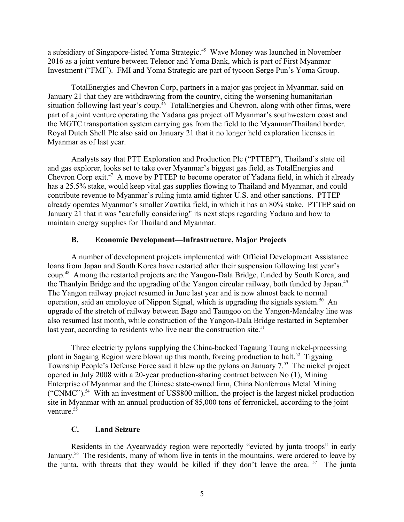a subsidiary of Singapore-listed Yoma Strategic.[45](#page-8-44) Wave Money was launched in November 2016 as a joint venture between Telenor and Yoma Bank, which is part of First Myanmar Investment ("FMI"). FMI and Yoma Strategic are part of tycoon Serge Pun's Yoma Group.

<span id="page-4-2"></span>TotalEnergies and Chevron Corp, partners in a major gas project in Myanmar, said on January 21 that they are withdrawing from the country, citing the worsening humanitarian situation following last year's coup.<sup>[46](#page-8-45)</sup> TotalEnergies and Chevron, along with other firms, were part of a joint venture operating the Yadana gas project off Myanmar's southwestern coast and the MGTC transportation system carrying gas from the field to the Myanmar/Thailand border. Royal Dutch Shell Plc also said on January 21 that it no longer held exploration licenses in Myanmar as of last year.

<span id="page-4-3"></span>Analysts say that PTT Exploration and Production Plc ("PTTEP"), Thailand's state oil and gas explorer, looks set to take over Myanmar's biggest gas field, as TotalEnergies and Chevron Corp exit.[47](#page-9-0) A move by PTTEP to become operator of Yadana field, in which it already has a 25.5% stake, would keep vital gas supplies flowing to Thailand and Myanmar, and could contribute revenue to Myanmar's ruling junta amid tighter U.S. and other sanctions. PTTEP already operates Myanmar's smaller Zawtika field, in which it has an 80% stake. PTTEP said on January 21 that it was "carefully considering" its next steps regarding Yadana and how to maintain energy supplies for Thailand and Myanmar.

#### <span id="page-4-7"></span><span id="page-4-6"></span><span id="page-4-4"></span><span id="page-4-1"></span>**B. Economic Development—Infrastructure, Major Projects**

A number of development projects implemented with Official Development Assistance loans from Japan and South Korea have restarted after their suspension following last year's coup.[48](#page-9-1) Among the restarted projects are the Yangon-Dala Bridge, funded by South Korea, and the Thanlyin Bridge and the upgrading of the Yangon circular railway, both funded by Japan.<sup>[49](#page-9-2)</sup> The Yangon railway project resumed in June last year and is now almost back to normal operation, said an employee of Nippon Signal, which is upgrading the signals system.<sup>[50](#page-9-3)</sup> An upgrade of the stretch of railway between Bago and Taungoo on the Yangon-Mandalay line was also resumed last month, while construction of the Yangon-Dala Bridge restarted in September last year, according to residents who live near the construction site.<sup>[51](#page-9-4)</sup>

<span id="page-4-5"></span>Three electricity pylons supplying the China-backed Tagaung Taung nickel-processing plant in Sagaing Region were blown up this month, forcing production to halt.<sup>[52](#page-9-5)</sup> Tigyaing Township People's Defense Force said it blew up the pylons on January 7.<sup>[53](#page-9-6)</sup> The nickel project opened in July 2008 with a 20-year production-sharing contract between No (1), Mining Enterprise of Myanmar and the Chinese state-owned firm, China Nonferrous Metal Mining ("CNMC").[54](#page-9-7) With an investment of US\$800 million, the project is the largest nickel production site in Myanmar with an annual production of 85,000 tons of ferronickel, according to the joint venture.<sup>[55](#page-9-8)</sup>

#### <span id="page-4-14"></span><span id="page-4-12"></span><span id="page-4-11"></span><span id="page-4-10"></span><span id="page-4-9"></span><span id="page-4-8"></span><span id="page-4-0"></span>**C. Land Seizure**

<span id="page-4-13"></span>Residents in the Ayearwaddy region were reportedly "evicted by junta troops" in early January.<sup>[56](#page-9-9)</sup> The residents, many of whom live in tents in the mountains, were ordered to leave by the junta, with threats that they would be killed if they don't leave the area.  $57$  The junta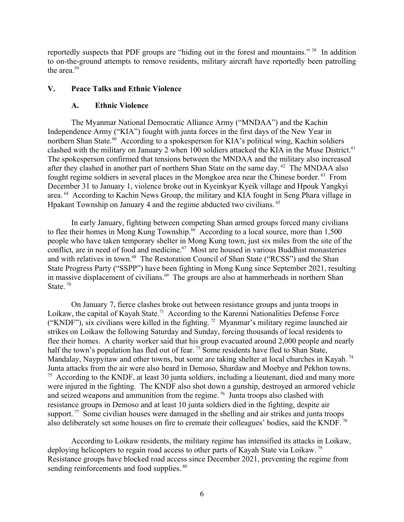reportedly suspects that PDF groups are "hiding out in the forest and mountains." [58](#page-9-11) In addition to on-the-ground attempts to remove residents, military aircraft have reportedly been patrolling the area. $59$ 

#### **V. Peace Talks and Ethnic Violence**

#### <span id="page-5-7"></span><span id="page-5-6"></span><span id="page-5-5"></span><span id="page-5-4"></span><span id="page-5-3"></span><span id="page-5-2"></span><span id="page-5-1"></span><span id="page-5-0"></span>**A. Ethnic Violence**

The Myanmar National Democratic Alliance Army ("MNDAA") and the Kachin Independence Army ("KIA") fought with junta forces in the first days of the New Year in northern Shan State.<sup>[60](#page-9-13)</sup> According to a spokesperson for KIA's political wing, Kachin soldiers clashed with the military on January 2 when 100 soldiers attacked the KIA in the Muse District.<sup>[61](#page-9-14)</sup> The spokesperson confirmed that tensions between the MNDAA and the military also increased after they clashed in another part of northern Shan State on the same day. <sup>[62](#page-9-15)</sup> The MNDAA also fought regime soldiers in several places in the Mongkoe area near the Chinese border. [63](#page-9-16) From December 31 to January 1, violence broke out in Kyeinkyar Kyeik village and Hpouk Yangkyi area. [64](#page-9-17) According to Kachin News Group, the military and KIA fought in Seng Phara village in Hpakant Township on January 4 and the regime abducted two civilians. [65](#page-9-18)

<span id="page-5-9"></span><span id="page-5-8"></span>In early January, fighting between competing Shan armed groups forced many civilians to flee their homes in Mong Kung Township.<sup>[66](#page-9-19)</sup> According to a local source, more than 1,500 people who have taken temporary shelter in Mong Kung town, just six miles from the site of the conflict, are in need of food and medicine.<sup>[67](#page-9-20)</sup> Most are housed in various Buddhist monasteries and with relatives in town.<sup>[68](#page-9-21)</sup> The Restoration Council of Shan State ("RCSS") and the Shan State Progress Party ("SSPP") have been fighting in Mong Kung since September 2021, resulting in massive displacement of civilians.<sup>[69](#page-9-22)</sup> The groups are also at hammerheads in northern Shan State.<sup>[70](#page-9-23)</sup>

<span id="page-5-16"></span><span id="page-5-15"></span><span id="page-5-14"></span><span id="page-5-13"></span><span id="page-5-12"></span><span id="page-5-11"></span><span id="page-5-10"></span>On January 7, fierce clashes broke out between resistance groups and junta troops in Loikaw, the capital of Kayah State.<sup>[71](#page-9-24)</sup> According to the Karenni Nationalities Defense Force ("KNDF"), six civilians were killed in the fighting.<sup>[72](#page-9-25)</sup> Myanmar's military regime launched air strikes on Loikaw the following Saturday and Sunday, forcing thousands of local residents to flee their homes. A charity worker said that his group evacuated around 2,000 people and nearly half the town's population has fled out of fear.<sup>[73](#page-9-26)</sup> Some residents have fled to Shan State, Mandalay, Naypyitaw and other towns, but some are taking shelter at local churches in Kayah.<sup>[74](#page-9-27)</sup> Junta attacks from the air were also heard in Demoso, Shardaw and Moebye and Pekhon towns. <sup>[75](#page-9-28)</sup> According to the KNDF, at least 30 junta soldiers, including a lieutenant, died and many more were injured in the fighting. The KNDF also shot down a gunship, destroyed an armored vehicle and seized weapons and ammunition from the regime. [76](#page-9-29) Junta troops also clashed with resistance groups in Demoso and at least 10 junta soldiers died in the fighting, despite air support.<sup>[77](#page-9-30)</sup> Some civilian houses were damaged in the shelling and air strikes and junta troops also deliberately set some houses on fire to cremate their colleagues' bodies, said the KNDF. [78](#page-9-31)

<span id="page-5-24"></span><span id="page-5-23"></span><span id="page-5-22"></span><span id="page-5-21"></span><span id="page-5-20"></span><span id="page-5-19"></span><span id="page-5-18"></span><span id="page-5-17"></span>According to Loikaw residents, the military regime has intensified its attacks in Loikaw, deploying helicopters to regain road access to other parts of Kayah State via Loikaw. [79](#page-9-32) Resistance groups have blocked road access since December 2021, preventing the regime from sending reinforcements and food supplies. <sup>[80](#page-9-33)</sup>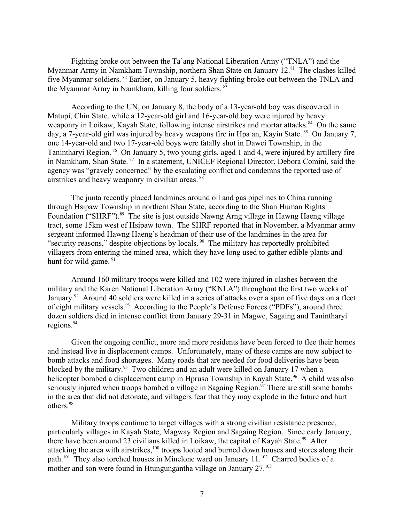Fighting broke out between the Ta'ang National Liberation Army ("TNLA") and the Myanmar Army in Namkham Township, northern Shan State on January 12.<sup>[81](#page-9-34)</sup> The clashes killed five Myanmar soldiers. [82](#page-9-35) Earlier, on January 5, heavy fighting broke out between the TNLA and the Myanmar Army in Namkham, killing four soldiers. <sup>[83](#page-9-36)</sup>

<span id="page-6-2"></span><span id="page-6-1"></span><span id="page-6-0"></span>According to the UN, on January 8, the body of a 13-year-old boy was discovered in Matupi, Chin State, while a 12-year-old girl and 16-year-old boy were injured by heavy weaponry in Loikaw, Kayah State, following intense airstrikes and mortar attacks.<sup>[84](#page-9-37)</sup> On the same day, a 7-year-old girl was injured by heavy weapons fire in Hpa an, Kayin State. <sup>[85](#page-9-38)</sup> On January 7, one 14-year-old and two 17-year-old boys were fatally shot in Dawei Township, in the Tanintharyi Region. <sup>[86](#page-9-39)</sup> On January 5, two young girls, aged 1 and 4, were injured by artillery fire in Namkham, Shan State. [87](#page-9-40) In a statement, UNICEF Regional Director, Debora Comini, said the agency was "gravely concerned" by the escalating conflict and condemns the reported use of airstrikes and heavy weaponry in civilian areas. [88](#page-9-41)

<span id="page-6-7"></span><span id="page-6-6"></span><span id="page-6-5"></span><span id="page-6-4"></span><span id="page-6-3"></span>The junta recently placed landmines around oil and gas pipelines to China running through Hsipaw Township in northern Shan State, according to the Shan Human Rights Foundation ("SHRF").<sup>[89](#page-9-42)</sup> The site is just outside Nawng Arng village in Hawng Haeng village tract, some 15km west of Hsipaw town. The SHRF reported that in November, a Myanmar army sergeant informed Hawng Haeng's headman of their use of the landmines in the area for "security reasons," despite objections by locals. <sup>[90](#page-9-43)</sup> The military has reportedly prohibited villagers from entering the mined area, which they have long used to gather edible plants and hunt for wild game.  $91$ 

<span id="page-6-10"></span><span id="page-6-9"></span><span id="page-6-8"></span>Around 160 military troops were killed and 102 were injured in clashes between the military and the Karen National Liberation Army ("KNLA") throughout the first two weeks of January.<sup>[92](#page-9-45)</sup> Around 40 soldiers were killed in a series of attacks over a span of five days on a fleet of eight military vessels.<sup>[93](#page-9-46)</sup> According to the People's Defense Forces ("PDFs"), around three dozen soldiers died in intense conflict from January 29-31 in Magwe, Sagaing and Tanintharyi regions.<sup>[94](#page-9-47)</sup>

<span id="page-6-13"></span><span id="page-6-12"></span><span id="page-6-11"></span>Given the ongoing conflict, more and more residents have been forced to flee their homes and instead live in displacement camps. Unfortunately, many of these camps are now subject to bomb attacks and food shortages. Many roads that are needed for food deliveries have been blocked by the military.<sup>[95](#page-9-48)</sup> Two children and an adult were killed on January 17 when a helicopter bombed a displacement camp in Hpruso Township in Kayah State.<sup>[96](#page-9-49)</sup> A child was also seriously injured when troops bombed a village in Sagaing Region.<sup>[97](#page-9-50)</sup> There are still some bombs in the area that did not detonate, and villagers fear that they may explode in the future and hurt others.<sup>[98](#page-9-51)</sup>

<span id="page-6-22"></span><span id="page-6-21"></span><span id="page-6-20"></span><span id="page-6-19"></span><span id="page-6-18"></span><span id="page-6-17"></span><span id="page-6-16"></span><span id="page-6-15"></span><span id="page-6-14"></span>Military troops continue to target villages with a strong civilian resistance presence, particularly villages in Kayah State, Magway Region and Sagaing Region. Since early January, there have been around 23 civilians killed in Loikaw, the capital of Kayah State.<sup>[99](#page-9-52)</sup> After attacking the area with airstrikes,<sup>[100](#page-9-53)</sup> troops looted and burned down houses and stores along their path.<sup>[101](#page-9-54)</sup> They also torched houses in Minelone ward on January 11.<sup>[102](#page-10-0)</sup> Charred bodies of a mother and son were found in Htungungantha village on January 27.<sup>[103](#page-10-1)</sup>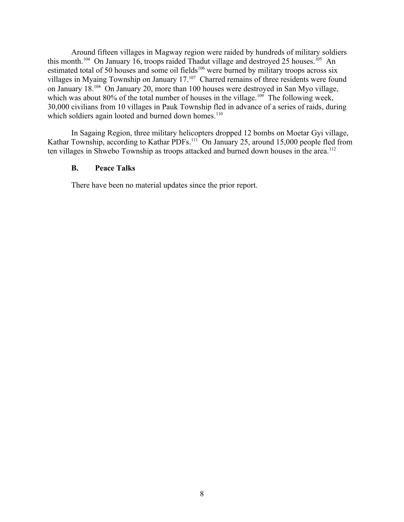Around fifteen villages in Magway region were raided by hundreds of military soldiers this month.<sup>[104](#page-10-2)</sup> On January 16, troops raided Thadut village and destroyed 25 houses.<sup>[105](#page-10-3)</sup> An estimated total of 50 houses and some oil fields<sup>[106](#page-10-4)</sup> were burned by military troops across six villages in Myaing Township on January 17.<sup>[107](#page-10-5)</sup> Charred remains of three residents were found on January 18.[108](#page-10-6) On January 20, more than 100 houses were destroyed in San Myo village, which was about 80% of the total number of houses in the village.<sup>[109](#page-10-7)</sup> The following week, 30,000 civilians from 10 villages in Pauk Township fled in advance of a series of raids, during which soldiers again looted and burned down homes.<sup>[110](#page-10-8)</sup>

<span id="page-7-5"></span><span id="page-7-1"></span>In Sagaing Region, three military helicopters dropped 12 bombs on Moetar Gyi village, Kathar Township, according to Kathar PDFs.<sup>[111](#page-10-9)</sup> On January 25, around 15,000 people fled from ten villages in Shwebo Township as troops attacked and burned down houses in the area.<sup>[112](#page-10-10)</sup>

#### <span id="page-7-7"></span><span id="page-7-6"></span><span id="page-7-4"></span><span id="page-7-3"></span><span id="page-7-2"></span><span id="page-7-0"></span>**B. Peace Talks**

<span id="page-7-9"></span><span id="page-7-8"></span>There have been no material updates since the prior report.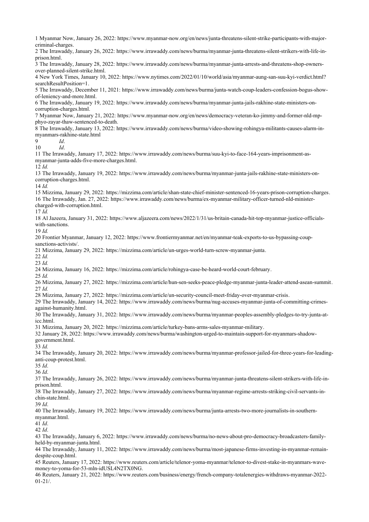<span id="page-8-25"></span><span id="page-8-24"></span><span id="page-8-23"></span><span id="page-8-22"></span><span id="page-8-21"></span><span id="page-8-20"></span><span id="page-8-19"></span><span id="page-8-18"></span><span id="page-8-17"></span><span id="page-8-16"></span><span id="page-8-15"></span><span id="page-8-14"></span><span id="page-8-13"></span><span id="page-8-12"></span><span id="page-8-11"></span><span id="page-8-10"></span><span id="page-8-9"></span><span id="page-8-8"></span><span id="page-8-7"></span><span id="page-8-6"></span><span id="page-8-5"></span><span id="page-8-4"></span><span id="page-8-3"></span><span id="page-8-2"></span><span id="page-8-1"></span><span id="page-8-0"></span> Myanmar Now, January 26, 2022: https://www.myanmar-now.org/en/news/junta-threatens-silent-strike-participants-with-majorcriminal-charges. The Irrawaddy, January 26, 2022: https://www.irrawaddy.com/news/burma/myanmar-junta-threatens-silent-strikers-with-life-inprison.html. The Irrawaddy, January 28, 2022: https://www.irrawaddy.com/news/burma/myanmar-junta-arrests-and-threatens-shop-ownersover-planned-silent-strike.html. New York Times, January 10, 2022: https://www.nytimes.com/2022/01/10/world/asia/myanmar-aung-san-suu-kyi-verdict.html? searchResultPosition=1. The Irrawaddy, December 11, 2021: https://www.irrawaddy.com/news/burma/junta-watch-coup-leaders-confession-bogus-showof-leniency-and-more.html. The Irrawaddy, January 19, 2022: https://www.irrawaddy.com/news/burma/myanmar-junta-jails-rakhine-state-ministers-oncorruption-charges.html. Myanmar Now, January 21, 2022: https://www.myanmar-now.org/en/news/democracy-veteran-ko-jimmy-and-former-nld-mpphyo-zayar-thaw-sentenced-to-death. The Irrawaddy, January 13, 2022: https://www.irrawaddy.com/news/burma/video-showing-rohingya-militants-causes-alarm-inmyanmars-rakhine-state.html *Id*. *Id*. The Irrawaddy, January 17, 2022: https://www.irrawaddy.com/news/burma/suu-kyi-to-face-164-years-imprisonment-asmyanmar-junta-adds-five-more-charges.html. *Id.* The Irrawaddy, January 19, 2022: https://www.irrawaddy.com/news/burma/myanmar-junta-jails-rakhine-state-ministers-oncorruption-charges.html. *Id.* Mizzima, January 29, 2022: https://mizzima.com/article/shan-state-chief-minister-sentenced-16-years-prison-corruption-charges. The Irrawaddy, Jan. 27, 2022: https://www.irrawaddy.com/news/burma/ex-myanmar-military-officer-turned-nld-ministercharged-with-corruption.html. *Id.* Al Jazeera, January 31, 2022: https://www.aljazeera.com/news/2022/1/31/us-britain-canada-hit-top-myanmar-justice-officialswith-sanctions. *Id.* Frontier Myanmar, January 12, 2022: https://www.frontiermyanmar.net/en/myanmar-teak-exports-to-us-bypassing-coupsanctions-activists/. Mizzima, January 29, 2022: https://mizzima.com/article/un-urges-world-turn-screw-myanmar-junta. *Id. Id.* Mizzima, January 16, 2022: https://mizzima.com/article/rohingya-case-be-heard-world-court-february. *Id.* Mizzima, January 27, 2022: https://mizzima.com/article/hun-sen-seeks-peace-pledge-myanmar-junta-leader-attend-asean-summit. *Id.* Mizzima, January 27, 2022: https://mizzima.com/article/un-security-council-meet-friday-over-myanmar-crisis. The Irrawaddy, January 14, 2022: https://www.irrawaddy.com/news/burma/nug-accuses-myanmar-junta-of-committing-crimesagainst-humanity.html. The Irrawaddy, January 31, 2022: https://www.irrawaddy.com/news/burma/myanmar-peoples-assembly-pledges-to-try-junta-aticc.html. Mizzima, January 20, 2022: https://mizzima.com/article/turkey-bans-arms-sales-myanmar-military. January 28, 2022: https://www.irrawaddy.com/news/burma/washington-urged-to-maintain-support-for-myanmars-shadowgovernment.html. *Id.* The Irrawaddy, January 20, 2022: https://www.irrawaddy.com/news/burma/myanmar-professor-jailed-for-three-years-for-leadinganti-coup-protest.html. *Id*. *Id*. The Irrawaddy, January 26, 2022: https://www.irrawaddy.com/news/burma/myanmar-junta-threatens-silent-strikers-with-life-inprison.html. The Irrawaddy, January 27, 2022: https://www.irrawaddy.com/news/burma/myanmar-regime-arrests-striking-civil-servants-inchin-state.html. *Id*. The Irrawaddy, January 19, 2022: https://www.irrawaddy.com/news/burma/junta-arrests-two-more-journalists-in-southernmyanmar.html. *Id*. *Id*. The Irrawaddy, January 6, 2022: https://www.irrawaddy.com/news/burma/no-news-about-pro-democracy-broadcasters-familyheld-by-myanmar-junta.html. The Irrawaddy, January 11, 2022: https://www.irrawaddy.com/news/burma/most-japanese-firms-investing-in-myanmar-remaindespite-coup.html. Reuters, January 17, 2022: https://www.reuters.com/article/telenor-yoma-myanmar/telenor-to-divest-stake-in-myanmars-wavemoney-to-yoma-for-53-mln-idUSL4N2TX0NG.

<span id="page-8-45"></span><span id="page-8-44"></span><span id="page-8-43"></span><span id="page-8-42"></span><span id="page-8-41"></span><span id="page-8-40"></span><span id="page-8-39"></span><span id="page-8-38"></span><span id="page-8-37"></span><span id="page-8-36"></span><span id="page-8-35"></span><span id="page-8-34"></span><span id="page-8-33"></span><span id="page-8-32"></span><span id="page-8-31"></span><span id="page-8-30"></span><span id="page-8-29"></span><span id="page-8-28"></span><span id="page-8-27"></span><span id="page-8-26"></span> Reuters, January 21, 2022: https://www.reuters.com/business/energy/french-company-totalenergies-withdraws-myanmar-2022- 01-21/.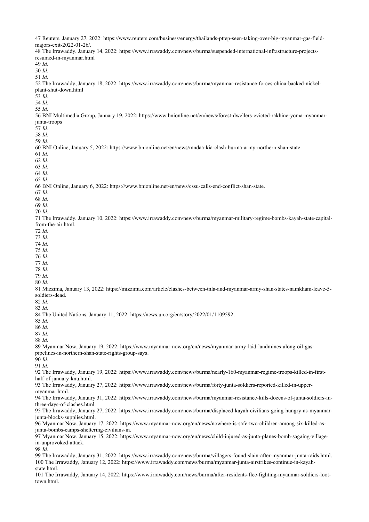<span id="page-9-54"></span><span id="page-9-53"></span><span id="page-9-52"></span><span id="page-9-51"></span><span id="page-9-50"></span><span id="page-9-49"></span><span id="page-9-48"></span><span id="page-9-47"></span><span id="page-9-46"></span><span id="page-9-45"></span><span id="page-9-44"></span><span id="page-9-43"></span><span id="page-9-42"></span><span id="page-9-41"></span><span id="page-9-40"></span><span id="page-9-39"></span><span id="page-9-38"></span><span id="page-9-37"></span><span id="page-9-36"></span><span id="page-9-35"></span><span id="page-9-34"></span><span id="page-9-33"></span><span id="page-9-32"></span><span id="page-9-31"></span><span id="page-9-30"></span><span id="page-9-29"></span><span id="page-9-28"></span><span id="page-9-27"></span><span id="page-9-26"></span><span id="page-9-25"></span><span id="page-9-24"></span><span id="page-9-23"></span><span id="page-9-22"></span><span id="page-9-21"></span><span id="page-9-20"></span><span id="page-9-19"></span><span id="page-9-18"></span><span id="page-9-17"></span><span id="page-9-16"></span><span id="page-9-15"></span><span id="page-9-14"></span><span id="page-9-13"></span><span id="page-9-12"></span><span id="page-9-11"></span><span id="page-9-10"></span><span id="page-9-9"></span><span id="page-9-8"></span><span id="page-9-7"></span><span id="page-9-6"></span><span id="page-9-5"></span><span id="page-9-4"></span><span id="page-9-3"></span><span id="page-9-2"></span><span id="page-9-1"></span><span id="page-9-0"></span>

| 47 Reuters, January 27, 2022: https://www.reuters.com/business/energy/thailands-pttep-seen-taking-over-big-myanmar-gas-field-                              |
|------------------------------------------------------------------------------------------------------------------------------------------------------------|
| majors-exit-2022-01-26/.<br>48 The Irrawaddy, January 14, 2022: https://www.irrawaddy.com/news/burma/suspended-international-infrastructure-projects-      |
| resumed-in-myanmar.html                                                                                                                                    |
| $49$ <i>Id.</i>                                                                                                                                            |
| 50 Id.<br>51 Id.                                                                                                                                           |
| 52 The Irrawaddy, January 18, 2022: https://www.irrawaddy.com/news/burma/myanmar-resistance-forces-china-backed-nickel-                                    |
| plant-shut-down.html                                                                                                                                       |
| 53 Id.                                                                                                                                                     |
| 54 Id.<br>55 Id.                                                                                                                                           |
| 56 BNI Multimedia Group, January 19, 2022: https://www.bnionline.net/en/news/forest-dwellers-evicted-rakhine-yoma-myanmar-                                 |
| junta-troops                                                                                                                                               |
| 57 Id.<br>58 Id.                                                                                                                                           |
| 59 Id.                                                                                                                                                     |
| 60 BNI Online, January 5, 2022: https://www.bnionline.net/en/news/mndaa-kia-clash-burma-army-northern-shan-state                                           |
| 61 Id.                                                                                                                                                     |
| 62 Id.                                                                                                                                                     |
| 63 Id.<br>64 Id.                                                                                                                                           |
| 65 Id.                                                                                                                                                     |
| 66 BNI Online, January 6, 2022: https://www.bnionline.net/en/news/cssu-calls-end-conflict-shan-state.                                                      |
| 67 Id.<br>68 Id.                                                                                                                                           |
| 69 Id.                                                                                                                                                     |
| 70 Id.                                                                                                                                                     |
| 71 The Irrawaddy, January 10, 2022: https://www.irrawaddy.com/news/burma/myanmar-military-regime-bombs-kayah-state-capital-                                |
| from-the-air.html.<br>72 Id.                                                                                                                               |
| 73 Id.                                                                                                                                                     |
| 74 Id.                                                                                                                                                     |
| 75 Id.                                                                                                                                                     |
| 76 Id.<br>77 Id.                                                                                                                                           |
| 78 Id.                                                                                                                                                     |
| 79 Id.                                                                                                                                                     |
| 80 Id.                                                                                                                                                     |
| 81 Mizzima, January 13, 2022: https://mizzima.com/article/clashes-between-tnla-and-myanmar-army-shan-states-namkham-leave-5-<br>soldiers-dead.             |
| 82 Id.                                                                                                                                                     |
| 83 Id.                                                                                                                                                     |
| 84 The United Nations, January 11, 2022: https://news.un.org/en/story/2022/01/1109592.                                                                     |
| 85 Id.<br>86 Id.                                                                                                                                           |
| 87 Id.                                                                                                                                                     |
| 88 Id.                                                                                                                                                     |
| 89 Myanmar Now, January 19, 2022: https://www.myanmar-now.org/en/news/myanmar-army-laid-landmines-along-oil-gas-                                           |
| pipelines-in-northern-shan-state-rights-group-says.<br>90 Id.                                                                                              |
| 91 Id.                                                                                                                                                     |
| 92 The Irrawaddy, January 19, 2022: https://www.irrawaddy.com/news/burma/nearly-160-myanmar-regime-troops-killed-in-first-                                 |
| half-of-january-knu.html.<br>93 The Irrawaddy, January 27, 2022: https://www.irrawaddy.com/news/burma/forty-junta-soldiers-reported-killed-in-upper-       |
| myanmar.html.                                                                                                                                              |
| 94 The Irrawaddy, January 31, 2022: https://www.irrawaddy.com/news/burma/myanmar-resistance-kills-dozens-of-junta-soldiers-in-                             |
| three-days-of-clashes.html.                                                                                                                                |
| 95 The Irrawaddy, January 27, 2022: https://www.irrawaddy.com/news/burma/displaced-kayah-civilians-going-hungry-as-myanmar-<br>junta-blocks-supplies.html. |
| 96 Myanmar Now, January 17, 2022: https://www.myanmar-now.org/en/news/nowhere-is-safe-two-children-among-six-killed-as-                                    |
| junta-bombs-camps-sheltering-civilians-in.                                                                                                                 |
| 97 Myanmar Now, January 15, 2022: https://www.myanmar-now.org/en/news/child-injured-as-junta-planes-bomb-sagaing-village-                                  |
| in-unprovoked-attack.<br>98 Id.                                                                                                                            |
| 99 The Irrawaddy, January 31, 2022: https://www.irrawaddy.com/news/burma/villagers-found-slain-after-myanmar-junta-raids.html.                             |
| 100 The Irrawaddy, January 12, 2022: https://www.irrawaddy.com/news/burma/myanmar-junta-airstrikes-continue-in-kayah-                                      |
| state.html.                                                                                                                                                |
| 101 The Irrawaddy, January 14, 2022: https://www.irrawaddy.com/news/burma/after-residents-flee-fighting-myanmar-soldiers-loot-<br>town.html.               |
|                                                                                                                                                            |
|                                                                                                                                                            |